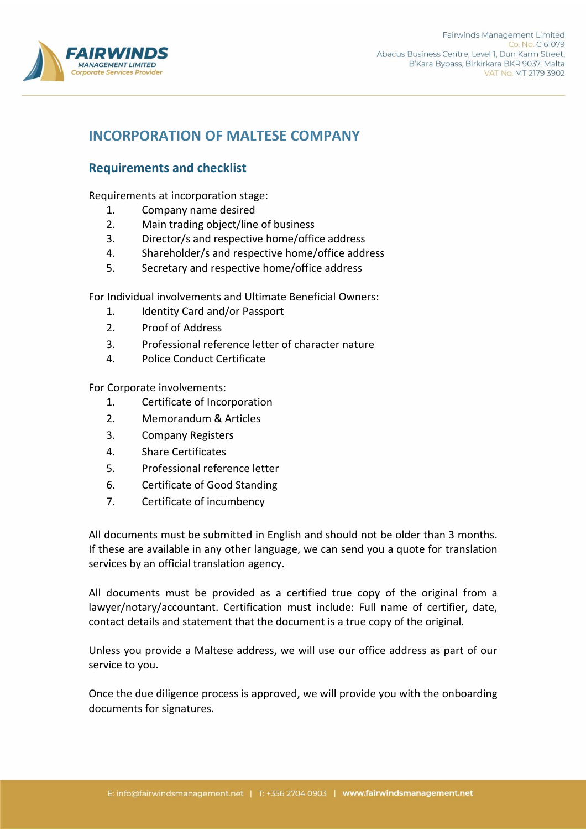

## **INCORPORATION OF MALTESE COMPANY**

## **Requirements and checklist**

Requirements at incorporation stage:

- 1. Company name desired
- 2. Main trading object/line of business
- 3. Director/s and respective home/office address
- 4. Shareholder/s and respective home/office address
- 5. Secretary and respective home/office address

For Individual involvements and Ultimate Beneficial Owners:

- 1. Identity Card and/or Passport
- 2. Proof of Address
- 3. Professional reference letter of character nature
- 4. Police Conduct Certificate

For Corporate involvements:

- 1. Certificate of Incorporation
- 2. Memorandum & Articles
- 3. Company Registers
- 4. Share Certificates
- 5. Professional reference letter
- 6. Certificate of Good Standing
- 7. Certificate of incumbency

All documents must be submitted in English and should not be older than 3 months. If these are available in any other language, we can send you a quote for translation services by an official translation agency.

All documents must be provided as a certified true copy of the original from a lawyer/notary/accountant. Certification must include: Full name of certifier, date, contact details and statement that the document is a true copy of the original.

Unless you provide a Maltese address, we will use our office address as part of our service to you.

Once the due diligence process is approved, we will provide you with the onboarding documents for signatures.